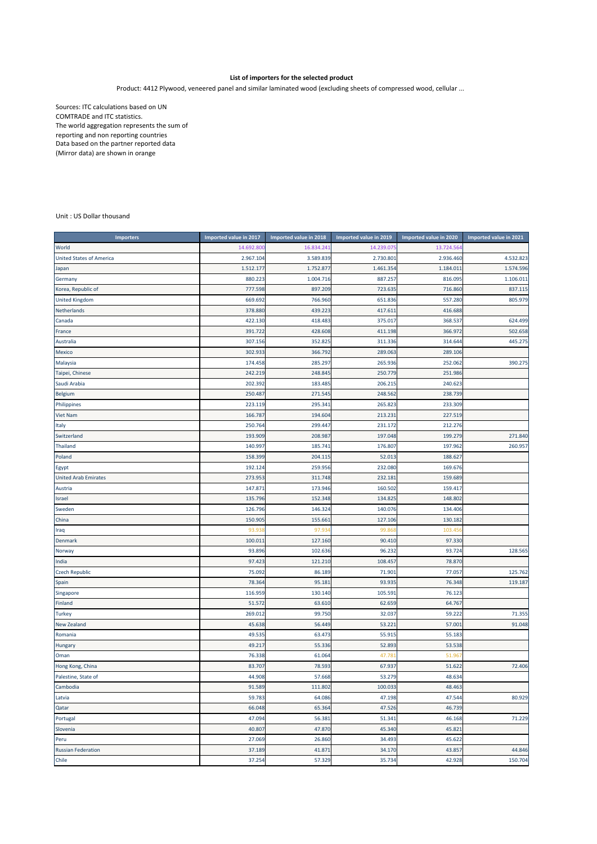## **List of importers for the selected product**

Product: 4412 Plywood, veneered panel and similar laminated wood (excluding sheets of compressed wood, cellular ...

Sources: ITC calculations based on UN COMTRADE and ITC statistics. The world aggregation represents the sum of reporting and non reporting countries Data based on the partner reported data (Mirror data) are shown in orange

## Unit : US Dollar thousand

| <b>Importers</b>                | Imported value in 2017 | Imported value in 2018 | Imported value in 2019 | Imported value in 2020 | Imported value in 2021 |
|---------------------------------|------------------------|------------------------|------------------------|------------------------|------------------------|
| World                           | 14.692.800             | 16.834.24              | 14.239.075             | 13.724.56              |                        |
| <b>United States of America</b> | 2.967.104              | 3.589.839              | 2.730.801              | 2.936.460              | 4.532.823              |
| Japan                           | 1.512.177              | 1.752.877              | 1.461.354              | 1.184.01               | 1.574.596              |
| Germany                         | 880.223                | 1.004.716              | 887.257                | 816.095                | 1.106.011              |
| Korea, Republic of              | 777.598                | 897.209                | 723.635                | 716.860                | 837.115                |
| <b>United Kingdom</b>           | 669.692                | 766.960                | 651.836                | 557.280                | 805.979                |
| Netherlands                     | 378.880                | 439.223                | 417.611                | 416.688                |                        |
| Canada                          | 422.130                | 418.483                | 375.017                | 368.537                | 624.499                |
| France                          | 391.722                | 428.608                | 411.198                | 366.97                 | 502.658                |
| Australia                       | 307.156                | 352.825                | 311.336                | 314.644                | 445.275                |
| Mexico                          | 302.933                | 366.792                | 289.063                | 289.106                |                        |
| Malaysia                        | 174.458                | 285.297                | 265.936                | 252.062                | 390.275                |
| Taipei, Chinese                 | 242.219                | 248.845                | 250.779                | 251.986                |                        |
| Saudi Arabia                    | 202.392                | 183.485                | 206.215                | 240.623                |                        |
| Belgium                         | 250.487                | 271.545                | 248.562                | 238.739                |                        |
| Philippines                     | 223.119                | 295.341                | 265.823                | 233.309                |                        |
| <b>Viet Nam</b>                 | 166.787                | 194.604                | 213.231                | 227.519                |                        |
| Italy                           | 250.764                | 299.447                | 231.172                | 212.276                |                        |
| Switzerland                     | 193.909                | 208.987                | 197.048                | 199.279                | 271.840                |
| <b>Thailand</b>                 | 140.997                | 185.74                 | 176.807                | 197.96                 | 260.957                |
| Poland                          | 158.399                | 204.11                 | 52.013                 | 188.627                |                        |
| Egypt                           | 192.124                | 259.956                | 232.080                | 169.676                |                        |
| <b>United Arab Emirates</b>     | 273.953                | 311.748                | 232.181                | 159.689                |                        |
| Austria                         | 147.87                 | 173.946                | 160.502                | 159.417                |                        |
| Israel                          | 135.796                | 152.348                | 134.825                | 148.80                 |                        |
| Sweden                          | 126.796                | 146.324                | 140.076                | 134.406                |                        |
| China                           | 150.905                | 155.66                 | 127.106                | 130.182                |                        |
| Iraq                            | 93.93                  | 97.93                  | 99.86                  | 103.45                 |                        |
| Denmark                         | 100.01:                | 127.160                | 90.410                 | 97.330                 |                        |
| Norway                          | 93.896                 | 102.636                | 96.232                 | 93.724                 | 128.565                |
| India                           | 97.423                 | 121.210                | 108.457                | 78.870                 |                        |
| <b>Czech Republic</b>           | 75.092                 | 86.189                 | 71.901                 | 77.057                 | 125.762                |
| Spain                           | 78.364                 | 95.181                 | 93.935                 | 76.348                 | 119.187                |
| Singapore                       | 116.959                | 130.140                | 105.591                | 76.123                 |                        |
| Finland                         | 51.572                 | 63.610                 | 62.659                 | 64.767                 |                        |
| <b>Turkey</b>                   | 269.012                | 99.750                 | 32.037                 | 59.222                 | 71.355                 |
| <b>New Zealand</b>              | 45.638                 | 56.449                 | 53.221                 | 57.001                 | 91.048                 |
| Romania                         | 49.535                 | 63.473                 | 55.915                 | 55.183                 |                        |
| Hungary                         | 49.217                 | 55.336                 | 52.893                 | 53.538                 |                        |
| Oman                            | 76.338                 | 61.064                 | 47.781                 | 51.96                  |                        |
| Hong Kong, China                | 83.707                 | 78.593                 | 67.937                 | 51.622                 | 72.406                 |
| Palestine, State of             | 44.908                 | 57.668                 | 53.279                 | 48.634                 |                        |
| Cambodia                        | 91.589                 | 111.802                | 100.033                | 48.463                 |                        |
| Latvia                          | 59.783                 | 64.086                 | 47.198                 | 47.544                 | 80.929                 |
| Qatar                           | 66.048                 | 65.364                 | 47.526                 | 46.739                 |                        |
| Portugal                        | 47.094                 | 56.381                 | 51.341                 | 46.168                 | 71.229                 |
| Slovenia                        | 40.807                 | 47.870                 | 45.340                 | 45.82                  |                        |
| Peru                            | 27.069                 | 26.860                 | 34.493                 | 45.622                 |                        |
| <b>Russian Federation</b>       | 37.189                 | 41.871                 | 34.170                 | 43.857                 | 44.846                 |
| Chile                           | 37.254                 | 57.329                 | 35.734                 | 42.928                 | 150.704                |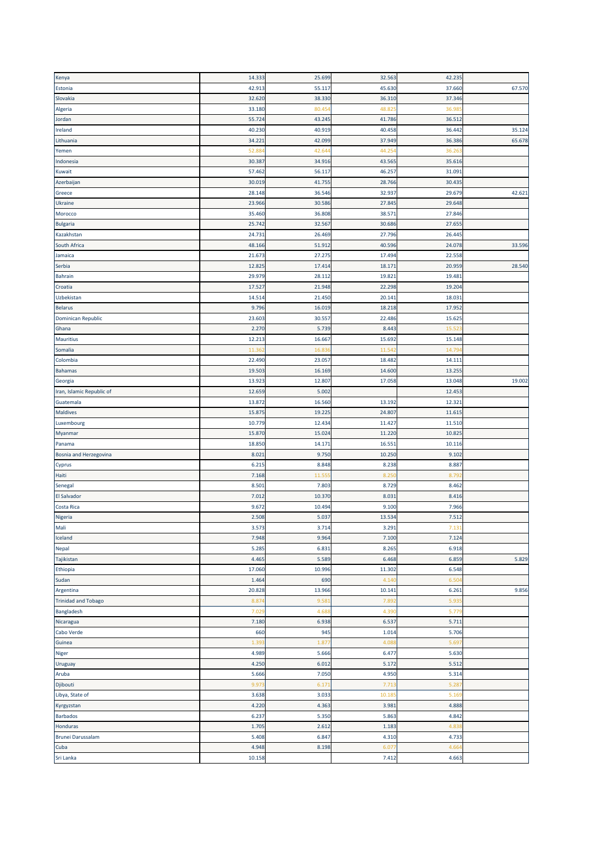| Kenya                      | 14.333          | 25.699 | 32.563         | 42.235        |        |
|----------------------------|-----------------|--------|----------------|---------------|--------|
| Estonia                    | 42.913          | 55.117 | 45.630         | 37.660        | 67.570 |
| Slovakia                   | 32.620          | 38.330 | 36.310         | 37.346        |        |
| Algeria                    | 33.180          | 80.45  | 48.82          | 36.98         |        |
|                            | 55.724          |        |                | 36.512        |        |
| Jordan                     |                 | 43.245 | 41.786         |               |        |
| Ireland                    | 40.230          | 40.919 | 40.458         | 36.442        | 35.124 |
| Lithuania                  | 34.221          | 42.099 | 37.949         | 36.386        | 65.678 |
| Yemen                      | 52.88           | 42.64  | 44.254         | 36.26         |        |
| Indonesia                  | 30.387          | 34.916 | 43.565         | 35.616        |        |
| Kuwait                     | 57.462          | 56.117 | 46.257         | 31.09         |        |
| Azerbaijan                 | 30.019          | 41.75  | 28.766         | 30.43         |        |
| Greece                     | 28.148          | 36.546 | 32.937         | 29.679        | 42.621 |
| Ukraine                    | 23.966          | 30.586 | 27.845         | 29.648        |        |
| Morocco                    | 35.460          | 36.808 | 38.571         | 27.846        |        |
| <b>Bulgaria</b>            | 25.742          | 32.567 | 30.686         | 27.65         |        |
| Kazakhstan                 | 24.73           | 26.469 | 27.796         | 26.44         |        |
| South Africa               | 48.166          | 51.912 | 40.596         | 24.078        | 33.596 |
|                            |                 |        |                |               |        |
| Jamaica                    | 21.673          | 27.275 | 17.494         | 22.558        |        |
| Serbia                     | 12.82           | 17.414 | 18.171         | 20.959        | 28.540 |
| <b>Bahrain</b>             | 29.979          | 28.112 | 19.821         | 19.481        |        |
| Croatia                    | 17.527          | 21.948 | 22.298         | 19.204        |        |
| Uzbekistan                 | 14.514          | 21.450 | 20.141         | 18.03         |        |
| <b>Belarus</b>             | 9.796           | 16.019 | 18.218         | 17.952        |        |
| Dominican Republic         | 23.603          | 30.557 | 22.486         | 15.625        |        |
| Ghana                      | 2.27            | 5.739  | 8.443          | 15.52         |        |
| <b>Mauritius</b>           | 12.213          | 16.667 | 15.692         | 15.148        |        |
| Somalia                    | 11.36           | 16.83  | 11.542         | 14.79         |        |
| Colombia                   | 22.490          | 23.057 | 18.482         | 14.111        |        |
|                            |                 |        |                |               |        |
| <b>Bahamas</b>             | 19.50           | 16.169 | 14.600         | 13.255        |        |
| Georgia                    | 13.923          | 12.807 | 17.058         | 13.048        | 19.002 |
| Iran, Islamic Republic of  | 12.659          | 5.002  |                | 12.453        |        |
| Guatemala                  | 13.872          | 16.560 | 13.192         | 12.321        |        |
| <b>Maldives</b>            | 15.875          | 19.22  | 24.807         | 11.615        |        |
| Luxembourg                 | 10.779          | 12.434 | 11.427         | 11.510        |        |
| Myanmar                    | 15.870          | 15.024 | 11.220         | 10.825        |        |
| Panama                     | 18.850          | 14.171 | 16.551         | 10.116        |        |
| Bosnia and Herzegovina     | 8.02            | 9.750  | 10.250         | 9.102         |        |
| Cyprus                     | 6.21!           | 8.848  | 8.238          | 8.887         |        |
| Haiti                      | 7.168           | 11.55  | 8.250          | 8.79          |        |
| Senegal                    | 8.50            | 7.80   | 8.729          | 8.462         |        |
| <b>El Salvador</b>         | 7.01            | 10.37  | 8.031          | 8.416         |        |
|                            |                 |        |                |               |        |
| <b>Costa Rica</b>          | 9.67            | 10.494 | 9.100          | 7.966         |        |
| Nigeria                    | 2.508           | 5.037  | 13.534         | 7.512         |        |
| Mali                       | 3.573           | 3.714  | 3.291          | 7.131         |        |
| Iceland                    | 7.948           | 9.964  | 7.100          | 7.124         |        |
| Nepal                      | 5.285           | 6.831  | 8.265          | 6.918         |        |
| Tajikistan                 | 4.465           | 5.589  | 6.468          | 6.859         | 5.829  |
| Ethiopia                   | 17.060          | 10.996 | 11.302         | 6.548         |        |
| Sudan                      | 1.464           | 690    | 4.140          | 6.50          |        |
| Argentina                  | 20.828          | 13.966 | 10.141         | 6.261         | 9.856  |
| <b>Trinidad and Tobago</b> | 8.87            | 9.58   | 7.892          | 5.93          |        |
| Bangladesh                 | 7.02            | 4.68   | 4.390          | 5.779         |        |
| Nicaragua                  | 7.180           | 6.938  | 6.537          | 5.711         |        |
|                            |                 |        |                |               |        |
| Cabo Verde                 | 660             | 945    | 1.014          | 5.706         |        |
| Guinea                     | 1.39            | 1.87   | 4.088          | 5.69          |        |
| Niger                      | 4.989           | 5.666  | 6.477          | 5.630         |        |
| Uruguay                    | 4.250           | 6.012  | 5.172          | 5.512         |        |
| Aruba                      | 5.666           | 7.050  | 4.950          | 5.314         |        |
| Djibouti                   | 9.97            | 6.171  | 7.713          | 5.28          |        |
| Libya, State of            | 3.638           | 3.033  | 10.185         | 5.169         |        |
| Kyrgyzstan                 | 4.220           | 4.363  | 3.981          | 4.888         |        |
| <b>Barbados</b>            | 6.237           | 5.350  | 5.863          | 4.842         |        |
| Honduras                   | 1.705           | 2.612  | 1.183          | 4.83          |        |
| <b>Brunei Darussalam</b>   | 5.408           | 6.847  | 4.310          | 4.733         |        |
|                            |                 |        |                |               |        |
|                            |                 |        |                |               |        |
| Cuba<br>Sri Lanka          | 4.948<br>10.158 | 8.198  | 6.077<br>7.412 | 4.66<br>4.663 |        |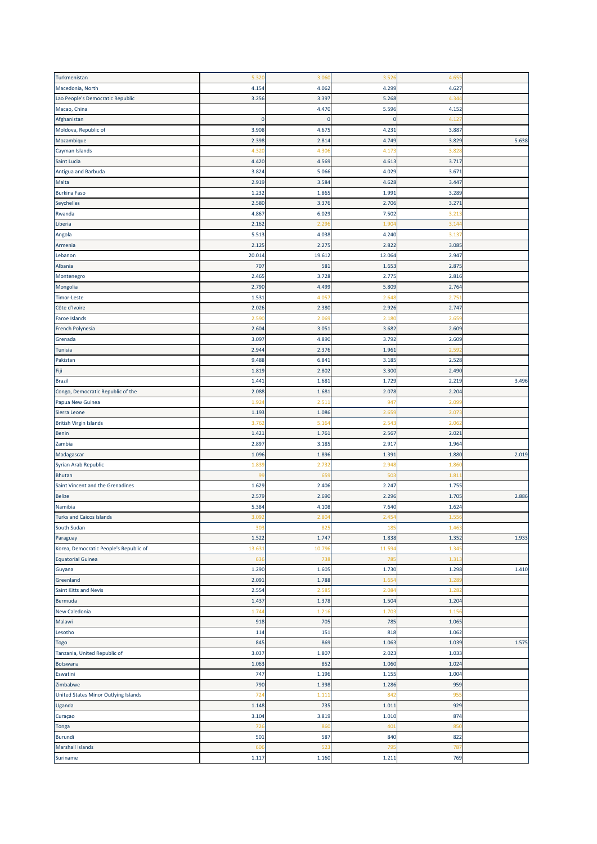| Turkmenistan                           | 5.32(        | 3.060       | 3.526             | 4.65  |       |
|----------------------------------------|--------------|-------------|-------------------|-------|-------|
| Macedonia, North                       | 4.154        | 4.062       | 4.299             | 4.627 |       |
| Lao People's Democratic Republic       | 3.256        | 3.397       | 5.268             | 4.34  |       |
| Macao, China                           |              | 4.470       | 5.596             | 4.152 |       |
| Afghanistan                            | $\mathbf{0}$ | $\mathbf 0$ | $\mathbf 0$       | 4.12  |       |
| Moldova, Republic of                   | 3.908        | 4.675       | 4.231             | 3.887 |       |
| Mozambique                             | 2.398        | 2.814       | 4.749             | 3.829 | 5.638 |
| Cayman Islands                         | 4.32         | 4.30        | 4.173             | 3.82  |       |
| Saint Lucia                            | 4.420        | 4.569       | 4.613             | 3.717 |       |
| Antigua and Barbuda                    | 3.824        | 5.066       | 4.029             | 3.67  |       |
| Malta                                  | 2.919        | 3.584       | 4.628             | 3.447 |       |
| <b>Burkina Faso</b>                    | 1.232        | 1.865       | 1.991             | 3.289 |       |
| Seychelles                             | 2.580        | 3.376       | 2.706             | 3.271 |       |
|                                        |              |             |                   |       |       |
| Rwanda                                 | 4.867        | 6.029       | 7.502             | 3.21  |       |
| Liberia                                | 2.162        | 2.29        | 1.90 <sub>4</sub> | 3.14  |       |
| Angola                                 | 5.513        | 4.038       | 4.240             | 3.13  |       |
| Armenia                                | 2.125        | 2.275       | 2.822             | 3.085 |       |
| Lebanon                                | 20.01        | 19.612      | 12.064            | 2.947 |       |
| Albania                                | 707          | 581         | 1.653             | 2.87  |       |
| Montenegro                             | 2.465        | 3.728       | 2.775             | 2.816 |       |
| Mongolia                               | 2.790        | 4.499       | 5.809             | 2.764 |       |
| <b>Timor-Leste</b>                     | 1.531        | 4.05        | 2.64              | 2.75  |       |
| Côte d'Ivoire                          | 2.026        | 2.380       | 2.926             | 2.747 |       |
| Faroe Islands                          | 2.59         | 2.06        | 2.180             | 2.65  |       |
| French Polynesia                       | 2.604        | 3.051       | 3.682             | 2.609 |       |
| Grenada                                | 3.097        | 4.890       | 3.792             | 2.609 |       |
| Tunisia                                | 2.944        | 2.376       | 1.961             | 2.59  |       |
| Pakistan                               | 9.488        | 6.841       | 3.185             | 2.528 |       |
| Fiji                                   | 1.819        | 2.802       | 3.300             | 2.490 |       |
| Brazil                                 | 1.44         | 1.681       | 1.729             | 2.219 | 3.496 |
| Congo, Democratic Republic of the      | 2.088        | 1.681       | 2.078             | 2.204 |       |
| Papua New Guinea                       | 1.92         | 2.51        | 947               | 2.09  |       |
| Sierra Leone                           | 1.193        | 1.086       | 2.659             | 2.07  |       |
| <b>British Virgin Islands</b>          | 3.76         | 5.16        | 2.543             | 2.06  |       |
| Benin                                  | 1.421        | 1.761       | 2.567             | 2.021 |       |
| Zambia                                 | 2.897        | 3.185       | 2.917             | 1.964 |       |
| Madagascar                             | 1.096        | 1.896       | 1.391             | 1.880 | 2.019 |
| Syrian Arab Republic                   | 1.83         | 2.732       | 2.948             | 1.86  |       |
| <b>Bhutan</b>                          | 99           | 65          | 50                | 1.81  |       |
| Saint Vincent and the Grenadines       | 1.629        | 2.406       | 2.247             | 1.755 |       |
| <b>Belize</b>                          | 2.579        | 2.690       | 2.296             | 1.70  | 2.886 |
| Namibia                                | 5.384        | 4.108       | 7.640             | 1.624 |       |
| <b>Turks and Caicos Islands</b>        | 3.092        | 2.804       | 2.454             | 1.556 |       |
| South Sudan                            | 303          | 825         | 185               | 1.463 |       |
| Paraguay                               | 1.522        | 1.747       | 1.838             | 1.352 | 1.933 |
| Korea, Democratic People's Republic of | 13.63        | 10.79       | 11.594            | 1.34  |       |
| <b>Equatorial Guinea</b>               | 63           | 738         | 785               | 1.31  |       |
| Guyana                                 | 1.290        | 1.605       | 1.730             | 1.298 | 1.410 |
| Greenland                              | 2.091        | 1.788       | 1.654             | 1.28  |       |
| Saint Kitts and Nevis                  | 2.554        | 2.58        | 2.084             | 1.28  |       |
| Bermuda                                | 1.437        | 1.378       | 1.504             | 1.204 |       |
|                                        |              |             |                   |       |       |
| New Caledonia                          | 1.744        | 1.216       | 1.703             | 1.156 |       |
| Malawi                                 | 918          | 705         | 785               | 1.065 |       |
| Lesotho                                | 114          | 151         | 818               | 1.062 |       |
| Togo                                   | 845          | 869         | 1.063             | 1.039 | 1.575 |
| Tanzania, United Republic of           | 3.037        | 1.807       | 2.023             | 1.033 |       |
| Botswana                               | 1.063        | 852         | 1.060             | 1.024 |       |
| Eswatini                               | 747          | 1.196       | 1.155             | 1.004 |       |
| Zimbabwe                               | 790          | 1.398       | 1.286             | 959   |       |
| United States Minor Outlying Islands   | 724          | 1.111       | 842               | 955   |       |
| Uganda                                 | 1.148        | 735         | 1.011             | 929   |       |
| Curaçao                                | 3.104        | 3.819       | 1.010             | 874   |       |
| Tonga                                  | 726          | 860         | 401               | 850   |       |
| <b>Burundi</b>                         | 501          | 587         | 840               | 822   |       |
| <b>Marshall Islands</b>                | 606          | 523         | 795               | 787   |       |
| Suriname                               | 1.117        | 1.160       | 1.211             | 769   |       |